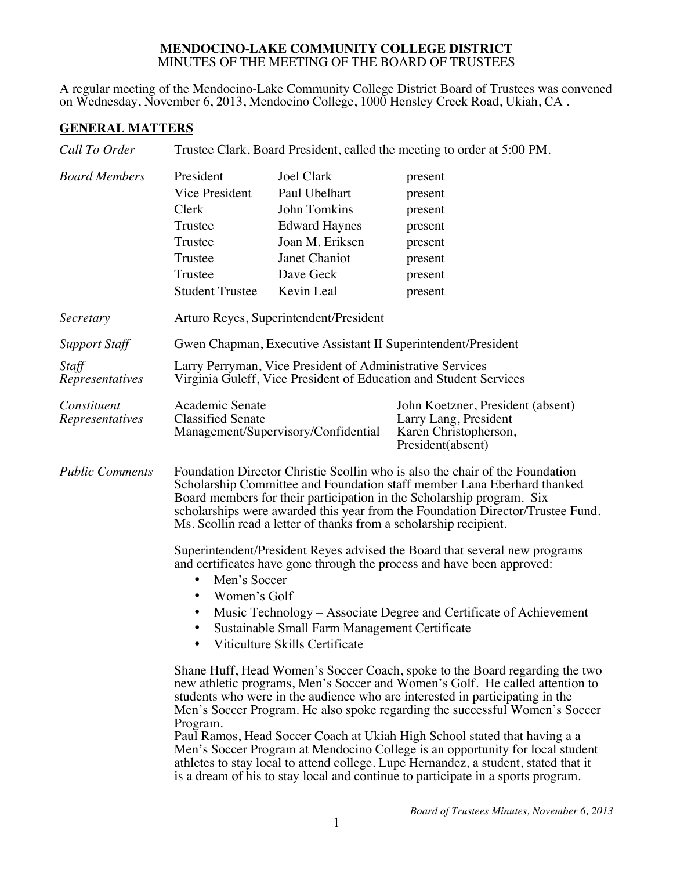## **MENDOCINO-LAKE COMMUNITY COLLEGE DISTRICT** MINUTES OF THE MEETING OF THE BOARD OF TRUSTEES

A regular meeting of the Mendocino-Lake Community College District Board of Trustees was convened on Wednesday, November 6, 2013, Mendocino College, 1000 Hensley Creek Road, Ukiah, CA .

### **GENERAL MATTERS**

| Call To Order                  | Trustee Clark, Board President, called the meeting to order at 5:00 PM.                                                                                                                                                                                                                                                                                                                                                                                                                                                                                                                                                                                                                                                  |                                                                                                                                                  |                                                                                                          |  |
|--------------------------------|--------------------------------------------------------------------------------------------------------------------------------------------------------------------------------------------------------------------------------------------------------------------------------------------------------------------------------------------------------------------------------------------------------------------------------------------------------------------------------------------------------------------------------------------------------------------------------------------------------------------------------------------------------------------------------------------------------------------------|--------------------------------------------------------------------------------------------------------------------------------------------------|----------------------------------------------------------------------------------------------------------|--|
| <b>Board Members</b>           | President<br>Vice President<br>Clerk<br>Trustee<br>Trustee<br>Trustee<br>Trustee<br><b>Student Trustee</b>                                                                                                                                                                                                                                                                                                                                                                                                                                                                                                                                                                                                               | <b>Joel Clark</b><br>Paul Ubelhart<br><b>John Tomkins</b><br><b>Edward Haynes</b><br>Joan M. Eriksen<br>Janet Chaniot<br>Dave Geck<br>Kevin Leal | present<br>present<br>present<br>present<br>present<br>present<br>present<br>present                     |  |
| Secretary                      | Arturo Reyes, Superintendent/President                                                                                                                                                                                                                                                                                                                                                                                                                                                                                                                                                                                                                                                                                   |                                                                                                                                                  |                                                                                                          |  |
| <b>Support Staff</b>           | Gwen Chapman, Executive Assistant II Superintendent/President                                                                                                                                                                                                                                                                                                                                                                                                                                                                                                                                                                                                                                                            |                                                                                                                                                  |                                                                                                          |  |
| Staff<br>Representatives       | Larry Perryman, Vice President of Administrative Services<br>Virginia Guleff, Vice President of Education and Student Services                                                                                                                                                                                                                                                                                                                                                                                                                                                                                                                                                                                           |                                                                                                                                                  |                                                                                                          |  |
| Constituent<br>Representatives | Academic Senate<br><b>Classified Senate</b>                                                                                                                                                                                                                                                                                                                                                                                                                                                                                                                                                                                                                                                                              | Management/Supervisory/Confidential                                                                                                              | John Koetzner, President (absent)<br>Larry Lang, President<br>Karen Christopherson,<br>President(absent) |  |
| <b>Public Comments</b>         | Foundation Director Christie Scollin who is also the chair of the Foundation<br>Scholarship Committee and Foundation staff member Lana Eberhard thanked<br>Board members for their participation in the Scholarship program. Six<br>scholarships were awarded this year from the Foundation Director/Trustee Fund.<br>Ms. Scollin read a letter of thanks from a scholarship recipient.<br>Superintendent/President Reyes advised the Board that several new programs<br>and certificates have gone through the process and have been approved:<br>Men's Soccer<br>$\bullet$<br>Women's Golf<br>Music Technology – Associate Degree and Certificate of Achievement<br>Sustainable Small Farm Management Certificate<br>٠ |                                                                                                                                                  |                                                                                                          |  |
|                                | Viticulture Skills Certificate                                                                                                                                                                                                                                                                                                                                                                                                                                                                                                                                                                                                                                                                                           |                                                                                                                                                  |                                                                                                          |  |
|                                | Shane Huff, Head Women's Soccer Coach, spoke to the Board regarding the two<br>new athletic programs, Men's Soccer and Women's Golf. He called attention to<br>students who were in the audience who are interested in participating in the<br>Men's Soccer Program. He also spoke regarding the successful Women's Soccer<br>Program.<br>Paul Ramos, Head Soccer Coach at Ukiah High School stated that having a a<br>Men's Soccer Program at Mendocino College is an opportunity for local student<br>athletes to stay local to attend college. Lupe Hernandez, a student, stated that it                                                                                                                              |                                                                                                                                                  |                                                                                                          |  |

is a dream of his to stay local and continue to participate in a sports program.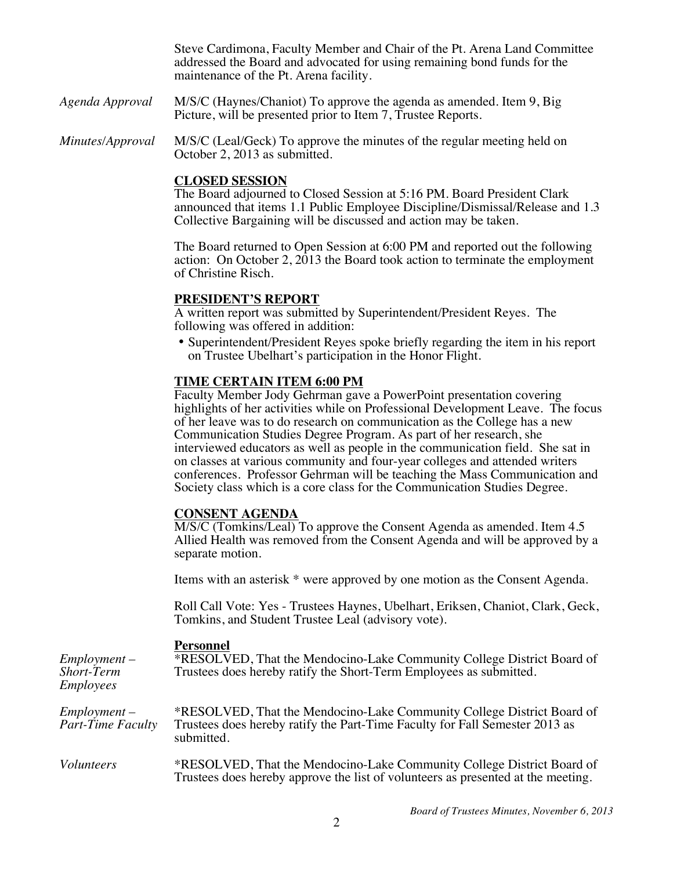Steve Cardimona, Faculty Member and Chair of the Pt. Arena Land Committee addressed the Board and advocated for using remaining bond funds for the maintenance of the Pt. Arena facility.

*Agenda Approval* M/S/C (Haynes/Chaniot) To approve the agenda as amended. Item 9, Big Picture, will be presented prior to Item 7, Trustee Reports.

*Minutes/Approval* M/S/C (Leal/Geck) To approve the minutes of the regular meeting held on October 2, 2013 as submitted.

#### **CLOSED SESSION**

The Board adjourned to Closed Session at 5:16 PM. Board President Clark announced that items 1.1 Public Employee Discipline/Dismissal/Release and 1.3 Collective Bargaining will be discussed and action may be taken.

The Board returned to Open Session at 6:00 PM and reported out the following action: On October 2, 2013 the Board took action to terminate the employment of Christine Risch.

#### **PRESIDENT'S REPORT**

A written report was submitted by Superintendent/President Reyes. The following was offered in addition:

• Superintendent/President Reyes spoke briefly regarding the item in his report on Trustee Ubelhart's participation in the Honor Flight.

#### **TIME CERTAIN ITEM 6:00 PM**

Faculty Member Jody Gehrman gave a PowerPoint presentation covering highlights of her activities while on Professional Development Leave. The focus of her leave was to do research on communication as the College has a new Communication Studies Degree Program. As part of her research, she interviewed educators as well as people in the communication field. She sat in on classes at various community and four-year colleges and attended writers conferences. Professor Gehrman will be teaching the Mass Communication and Society class which is a core class for the Communication Studies Degree.

#### **CONSENT AGENDA**

M/S/C (Tomkins/Leal) To approve the Consent Agenda as amended. Item 4.5 Allied Health was removed from the Consent Agenda and will be approved by a separate motion.

Items with an asterisk \* were approved by one motion as the Consent Agenda.

Roll Call Vote: Yes - Trustees Haynes, Ubelhart, Eriksen, Chaniot, Clark, Geck, Tomkins, and Student Trustee Leal (advisory vote).

#### **Personnel**

| $Employment -$<br><b>Short-Term</b><br><b>Employees</b> | *RESOLVED, That the Mendocino-Lake Community College District Board of<br>Trustees does hereby ratify the Short-Term Employees as submitted.                        |
|---------------------------------------------------------|---------------------------------------------------------------------------------------------------------------------------------------------------------------------|
| $Employment -$<br>Part-Time Faculty                     | *RESOLVED, That the Mendocino-Lake Community College District Board of<br>Trustees does hereby ratify the Part-Time Faculty for Fall Semester 2013 as<br>submitted. |
| <i>Volunteers</i>                                       | *RESOLVED, That the Mendocino-Lake Community College District Board of<br>Trustees does hereby approve the list of volunteers as presented at the meeting.          |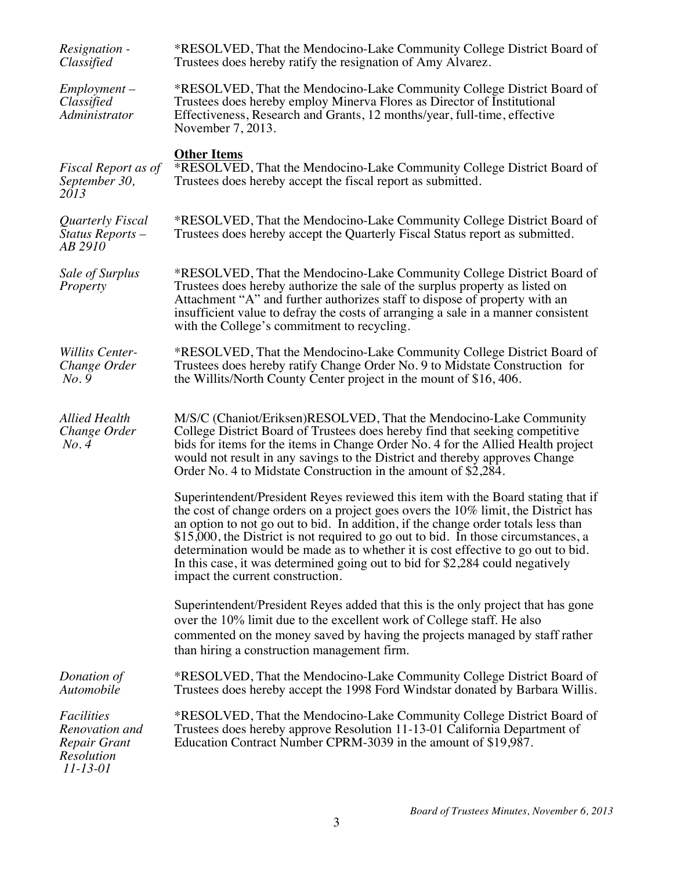| Resignation -<br>Classified                                                   | *RESOLVED, That the Mendocino-Lake Community College District Board of<br>Trustees does hereby ratify the resignation of Amy Alvarez.                                                                                                                                                                                                                                                                                                                                                                                                                     |
|-------------------------------------------------------------------------------|-----------------------------------------------------------------------------------------------------------------------------------------------------------------------------------------------------------------------------------------------------------------------------------------------------------------------------------------------------------------------------------------------------------------------------------------------------------------------------------------------------------------------------------------------------------|
| $Employment -$<br>Classified<br>Administrator                                 | *RESOLVED, That the Mendocino-Lake Community College District Board of<br>Trustees does hereby employ Minerva Flores as Director of Institutional<br>Effectiveness, Research and Grants, 12 months/year, full-time, effective<br>November 7, 2013.                                                                                                                                                                                                                                                                                                        |
| Fiscal Report as of<br>September 30,<br>2013                                  | <b>Other Items</b><br>*RESOLVED, That the Mendocino-Lake Community College District Board of<br>Trustees does hereby accept the fiscal report as submitted.                                                                                                                                                                                                                                                                                                                                                                                               |
| Quarterly Fiscal<br>Status Reports -<br>AB 2910                               | *RESOLVED, That the Mendocino-Lake Community College District Board of<br>Trustees does hereby accept the Quarterly Fiscal Status report as submitted.                                                                                                                                                                                                                                                                                                                                                                                                    |
| Sale of Surplus<br>Property                                                   | *RESOLVED, That the Mendocino-Lake Community College District Board of<br>Trustees does hereby authorize the sale of the surplus property as listed on<br>Attachment "A" and further authorizes staff to dispose of property with an<br>insufficient value to defray the costs of arranging a sale in a manner consistent<br>with the College's commitment to recycling.                                                                                                                                                                                  |
| <b>Willits Center-</b><br>Change Order<br>No.9                                | *RESOLVED, That the Mendocino-Lake Community College District Board of<br>Trustees does hereby ratify Change Order No. 9 to Midstate Construction for<br>the Willits/North County Center project in the mount of \$16, 406.                                                                                                                                                                                                                                                                                                                               |
| <b>Allied Health</b><br>Change Order<br>No.4                                  | M/S/C (Chaniot/Eriksen)RESOLVED, That the Mendocino-Lake Community<br>College District Board of Trustees does hereby find that seeking competitive<br>bids for items for the items in Change Order No. 4 for the Allied Health project<br>would not result in any savings to the District and thereby approves Change<br>Order No. 4 to Midstate Construction in the amount of \$2,284.                                                                                                                                                                   |
|                                                                               | Superintendent/President Reyes reviewed this item with the Board stating that if<br>the cost of change orders on a project goes overs the 10% limit, the District has<br>an option to not go out to bid. In addition, if the change order totals less than<br>\$15,000, the District is not required to go out to bid. In those circumstances, a<br>determination would be made as to whether it is cost effective to go out to bid.<br>In this case, it was determined going out to bid for \$2,284 could negatively<br>impact the current construction. |
|                                                                               | Superintendent/President Reyes added that this is the only project that has gone<br>over the 10% limit due to the excellent work of College staff. He also<br>commented on the money saved by having the projects managed by staff rather<br>than hiring a construction management firm.                                                                                                                                                                                                                                                                  |
| Donation of<br>Automobile                                                     | *RESOLVED, That the Mendocino-Lake Community College District Board of<br>Trustees does hereby accept the 1998 Ford Windstar donated by Barbara Willis.                                                                                                                                                                                                                                                                                                                                                                                                   |
| Facilities<br>Renovation and<br><b>Repair Grant</b><br>Resolution<br>11-13-01 | *RESOLVED, That the Mendocino-Lake Community College District Board of<br>Trustees does hereby approve Resolution 11-13-01 California Department of<br>Education Contract Number CPRM-3039 in the amount of \$19,987.                                                                                                                                                                                                                                                                                                                                     |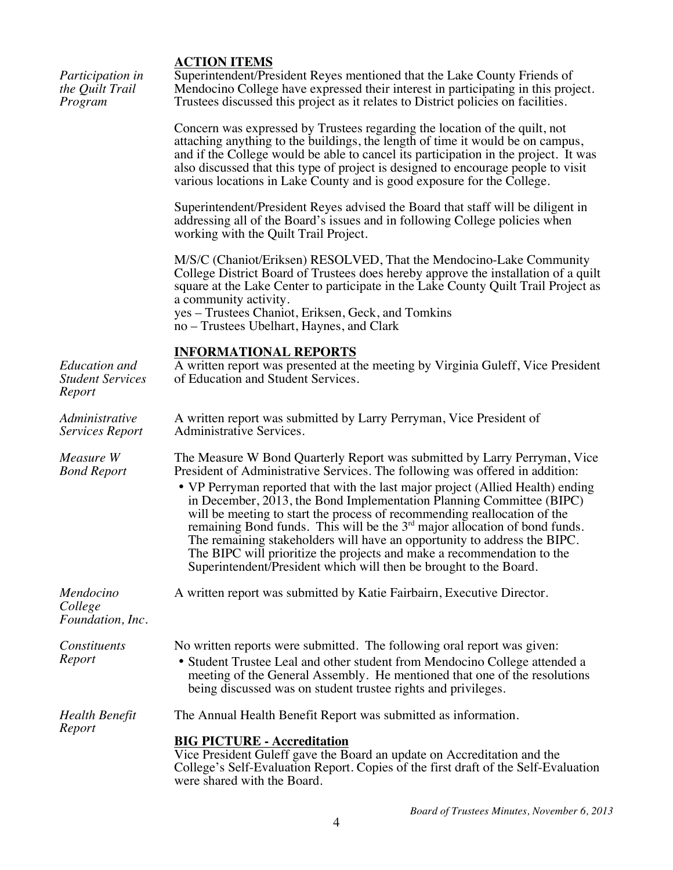# **ACTION ITEMS**

| Participation in<br>the Quilt Trail<br>Program            | Superintendent/President Reyes mentioned that the Lake County Friends of<br>Mendocino College have expressed their interest in participating in this project.<br>Trustees discussed this project as it relates to District policies on facilities.                                                                                                                                                                                                                                                                                                                                                                                                                                                         |
|-----------------------------------------------------------|------------------------------------------------------------------------------------------------------------------------------------------------------------------------------------------------------------------------------------------------------------------------------------------------------------------------------------------------------------------------------------------------------------------------------------------------------------------------------------------------------------------------------------------------------------------------------------------------------------------------------------------------------------------------------------------------------------|
|                                                           | Concern was expressed by Trustees regarding the location of the quilt, not<br>attaching anything to the buildings, the length of time it would be on campus,<br>and if the College would be able to cancel its participation in the project. It was<br>also discussed that this type of project is designed to encourage people to visit<br>various locations in Lake County and is good exposure for the College.                                                                                                                                                                                                                                                                                         |
|                                                           | Superintendent/President Reyes advised the Board that staff will be diligent in<br>addressing all of the Board's issues and in following College policies when<br>working with the Quilt Trail Project.                                                                                                                                                                                                                                                                                                                                                                                                                                                                                                    |
|                                                           | M/S/C (Chaniot/Eriksen) RESOLVED, That the Mendocino-Lake Community<br>College District Board of Trustees does hereby approve the installation of a quilt<br>square at the Lake Center to participate in the Lake County Quilt Trail Project as<br>a community activity.<br>yes – Trustees Chaniot, Eriksen, Geck, and Tomkins<br>no – Trustees Ubelhart, Haynes, and Clark                                                                                                                                                                                                                                                                                                                                |
| <b>Education</b> and<br><b>Student Services</b><br>Report | <b>INFORMATIONAL REPORTS</b><br>A written report was presented at the meeting by Virginia Guleff, Vice President<br>of Education and Student Services.                                                                                                                                                                                                                                                                                                                                                                                                                                                                                                                                                     |
| Administrative<br><b>Services Report</b>                  | A written report was submitted by Larry Perryman, Vice President of<br>Administrative Services.                                                                                                                                                                                                                                                                                                                                                                                                                                                                                                                                                                                                            |
| Measure W<br><b>Bond Report</b>                           | The Measure W Bond Quarterly Report was submitted by Larry Perryman, Vice<br>President of Administrative Services. The following was offered in addition:<br>• VP Perryman reported that with the last major project (Allied Health) ending<br>in December, 2013, the Bond Implementation Planning Committee (BIPC)<br>will be meeting to start the process of recommending reallocation of the<br>remaining Bond funds. This will be the $3rd$ major allocation of bond funds.<br>The remaining stakeholders will have an opportunity to address the BIPC.<br>The BIPC will prioritize the projects and make a recommendation to the<br>Superintendent/President which will then be brought to the Board. |
| Mendocino<br>College<br>Foundation, Inc.                  | A written report was submitted by Katie Fairbairn, Executive Director.                                                                                                                                                                                                                                                                                                                                                                                                                                                                                                                                                                                                                                     |
| Constituents<br>Report                                    | No written reports were submitted. The following oral report was given:<br>• Student Trustee Leal and other student from Mendocino College attended a<br>meeting of the General Assembly. He mentioned that one of the resolutions<br>being discussed was on student trustee rights and privileges.                                                                                                                                                                                                                                                                                                                                                                                                        |
| <b>Health Benefit</b>                                     | The Annual Health Benefit Report was submitted as information.                                                                                                                                                                                                                                                                                                                                                                                                                                                                                                                                                                                                                                             |
| Report                                                    | <b>BIG PICTURE - Accreditation</b><br>Vice President Guleff gave the Board an update on Accreditation and the<br>College's Self-Evaluation Report. Copies of the first draft of the Self-Evaluation<br>were shared with the Board.                                                                                                                                                                                                                                                                                                                                                                                                                                                                         |